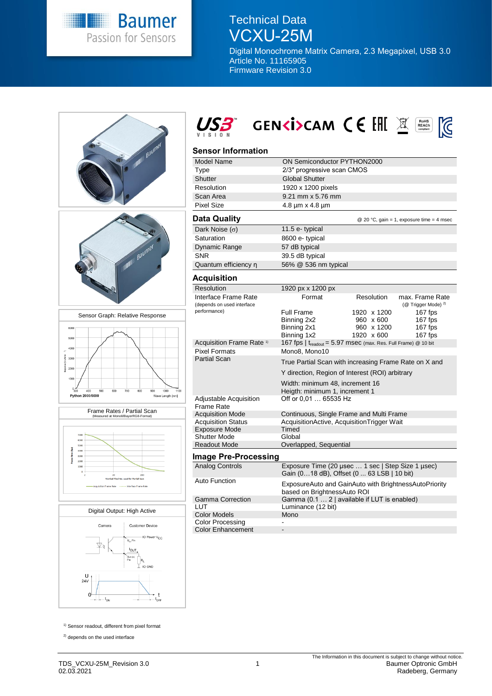

## Technical Data VCXU-25M

Digital Monochrome Matrix Camera, 2.3 Megapixel, USB 3.0 Article No. 11165905 Firmware Revision 3.0









# USB GENKISCAM CE EHI X

#### **Sensor Information**

| Model Name                                         | ON Semiconductor PYTHON2000                                                                     |                                                      |                                                   |
|----------------------------------------------------|-------------------------------------------------------------------------------------------------|------------------------------------------------------|---------------------------------------------------|
| Type                                               | 2/3" progressive scan CMOS                                                                      |                                                      |                                                   |
| Shutter                                            | <b>Global Shutter</b>                                                                           |                                                      |                                                   |
| Resolution                                         | 1920 x 1200 pixels                                                                              |                                                      |                                                   |
| Scan Area                                          | 9.21 mm x 5.76 mm                                                                               |                                                      |                                                   |
| <b>Pixel Size</b>                                  | $4.8 \mu m \times 4.8 \mu m$                                                                    |                                                      |                                                   |
| Data Quality                                       |                                                                                                 |                                                      | @ 20 °C, gain = 1, exposure time = 4 msec         |
| Dark Noise $(\sigma)$                              | 11.5 e-typical                                                                                  |                                                      |                                                   |
| Saturation                                         | 8600 e- typical                                                                                 |                                                      |                                                   |
| Dynamic Range                                      | 57 dB typical                                                                                   |                                                      |                                                   |
| <b>SNR</b>                                         | 39.5 dB typical                                                                                 |                                                      |                                                   |
| Quantum efficiency n                               | 56% @ 536 nm typical                                                                            |                                                      |                                                   |
| Acquisition                                        |                                                                                                 |                                                      |                                                   |
| Resolution                                         | 1920 px x 1200 px                                                                               |                                                      |                                                   |
| Interface Frame Rate<br>(depends on used interface | Format                                                                                          | Resolution                                           | max. Frame Rate<br>(@ Trigger Mode) <sup>2)</sup> |
| performance)                                       | Full Frame<br>Binning 2x2<br>Binning 2x1<br>Binning 1x2                                         | 1920 x 1200<br>960 x 600<br>960 x 1200<br>1920 x 600 | 167 fps<br>167 fps<br>167 fps<br>167 fps          |
| Acquisition Frame Rate <sup>1)</sup>               | 167 fps   treadout = 5.97 msec (max. Res. Full Frame) @ 10 bit                                  |                                                      |                                                   |
| <b>Pixel Formats</b><br><b>Partial Scan</b>        | Mono8, Mono10                                                                                   |                                                      |                                                   |
|                                                    | True Partial Scan with increasing Frame Rate on X and                                           |                                                      |                                                   |
|                                                    | Y direction, Region of Interest (ROI) arbitrary                                                 |                                                      |                                                   |
|                                                    | Width: minimum 48, increment 16<br>Heigth: minimum 1, increment 1                               |                                                      |                                                   |
| Adjustable Acquisition<br><b>Frame Rate</b>        | Off or 0,01  65535 Hz                                                                           |                                                      |                                                   |
| <b>Acquisition Mode</b>                            | Continuous, Single Frame and Multi Frame                                                        |                                                      |                                                   |
| <b>Acquisition Status</b>                          | AcquisitionActive, AcquisitionTrigger Wait                                                      |                                                      |                                                   |
| <b>Exposure Mode</b>                               | Timed                                                                                           |                                                      |                                                   |
| <b>Shutter Mode</b>                                | Global                                                                                          |                                                      |                                                   |
| <b>Readout Mode</b>                                | Overlapped, Sequential                                                                          |                                                      |                                                   |
| Image Pre-Processing                               |                                                                                                 |                                                      |                                                   |
| <b>Analog Controls</b>                             | Exposure Time (20 µsec  1 sec   Step Size 1 µsec)<br>Gain (018 dB), Offset (0  63 LSB   10 bit) |                                                      |                                                   |
| <b>Auto Function</b>                               | ExposureAuto and GainAuto with BrightnessAutoPriority<br>based on BrightnessAuto ROI            |                                                      |                                                   |
| <b>Gamma Correction</b>                            | Gamma (0.1  2   available if LUT is enabled)                                                    |                                                      |                                                   |
| LUT                                                | Luminance (12 bit)                                                                              |                                                      |                                                   |
| <b>Color Models</b>                                | Mono                                                                                            |                                                      |                                                   |
| Color Processing                                   |                                                                                                 |                                                      |                                                   |

Color Enhancement

<sup>1)</sup> Sensor readout, different from pixel format

<sup>2)</sup> depends on the used interface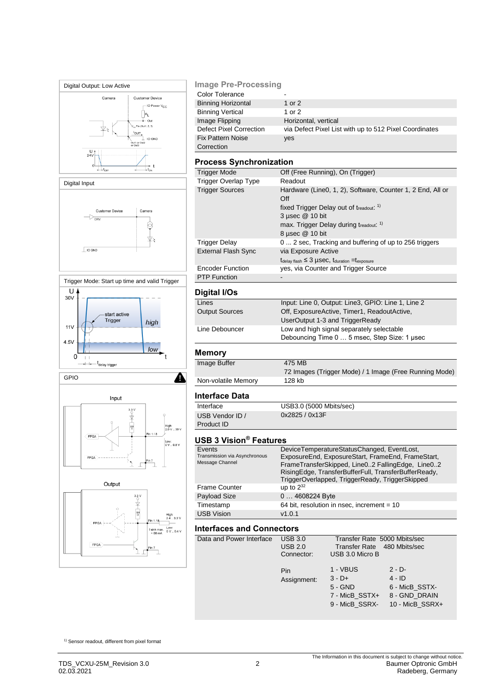

#### **Image Pre-Processing**

| Color Tolerance           | -                                                      |
|---------------------------|--------------------------------------------------------|
| <b>Binning Horizontal</b> | 1 or $2$                                               |
| <b>Binning Vertical</b>   | 1 or 2                                                 |
| Image Flipping            | Horizontal, vertical                                   |
| Defect Pixel Correction   | via Defect Pixel List with up to 512 Pixel Coordinates |
| <b>Fix Pattern Noise</b>  | yes                                                    |
| Correction                |                                                        |

#### **Process Synchronization**

| Trigger Mode               | Off (Free Running), On (Trigger)                                                          |
|----------------------------|-------------------------------------------------------------------------------------------|
| Trigger Overlap Type       | Readout                                                                                   |
| <b>Trigger Sources</b>     | Hardware (Line0, 1, 2), Software, Counter 1, 2 End, All or<br>Off                         |
|                            | fixed Trigger Delay out of treadout: <sup>1)</sup>                                        |
|                            | $3 \mu$ sec $@ 10 \text{ bit}$                                                            |
|                            | max. Trigger Delay during treadout. <sup>1)</sup>                                         |
|                            | 8 µsec @ 10 bit                                                                           |
| Trigger Delay              | 0 2 sec, Tracking and buffering of up to 256 triggers                                     |
| <b>External Flash Sync</b> | via Exposure Active                                                                       |
|                            | $t_{\text{delay flash}} \leq 3 \mu \text{sec}, t_{\text{duration}} = t_{\text{exposure}}$ |
| <b>Encoder Function</b>    | yes, via Counter and Trigger Source                                                       |
| <b>PTP Function</b>        |                                                                                           |

#### **Digital I/Os**

| Lines                 | Input: Line 0, Output: Line3, GPIO: Line 1, Line 2 |
|-----------------------|----------------------------------------------------|
| <b>Output Sources</b> | Off, ExposureActive, Timer1, ReadoutActive,        |
|                       | UserOutput 1-3 and TriggerReady                    |
| Line Debouncer        | Low and high signal separately selectable          |
|                       | Debouncing Time 0  5 msec, Step Size: 1 usec       |
|                       |                                                    |

#### **Memory**

| Image Buffer        | 475 MB                                                 |
|---------------------|--------------------------------------------------------|
|                     | 72 Images (Trigger Mode) / 1 Image (Free Running Mode) |
| Non-volatile Memory | 128 kb                                                 |

#### **Interface Data**

Interface USB3.0 (5000 Mbits/sec) USB Vendor ID / Product ID

#### **USB 3 Vision® Features**

| Events<br>Transmission via Asynchronous<br>Message Channel | DeviceTemperatureStatusChanged, EventLost,<br>ExposureEnd, ExposureStart, FrameEnd, FrameStart,<br>FrameTransferSkipped, Line02 FallingEdge, Line02<br>RisingEdge, TransferBufferFull, TransferBufferReady,<br>TriggerOverlapped, TriggerReady, TriggerSkipped |
|------------------------------------------------------------|----------------------------------------------------------------------------------------------------------------------------------------------------------------------------------------------------------------------------------------------------------------|
| <b>Frame Counter</b>                                       | up to $2^{32}$                                                                                                                                                                                                                                                 |
| Payload Size                                               | 0  4608224 Byte                                                                                                                                                                                                                                                |
| Timestamp                                                  | 64 bit, resolution in nsec, increment = 10                                                                                                                                                                                                                     |
| <b>USB Vision</b>                                          | v1.0.1                                                                                                                                                                                                                                                         |

0x2825 / 0x13F

#### **Interfaces and Connectors**

| Data and Power Interface | <b>USB 3.0</b><br><b>USB 2.0</b><br>Connector: | Transfer Rate 5000 Mbits/sec<br>Transfer Rate 480 Mbits/sec<br>USB 3.0 Micro B |                                                                             |
|--------------------------|------------------------------------------------|--------------------------------------------------------------------------------|-----------------------------------------------------------------------------|
|                          | Pin<br>Assignment:                             | 1 - VBUS<br>$3 - D +$<br>$5 - GND$<br>7 - MicB SSTX+<br>9 - MicB SSRX-         | $2 - D -$<br>$4 - ID$<br>6 - MicB SSTX-<br>8 - GND DRAIN<br>10 - MicB SSRX+ |

1) Sensor readout, different from pixel format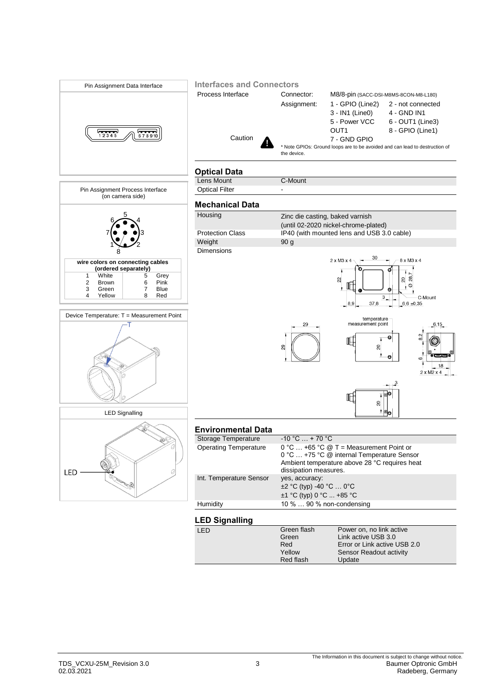

Red flash

Update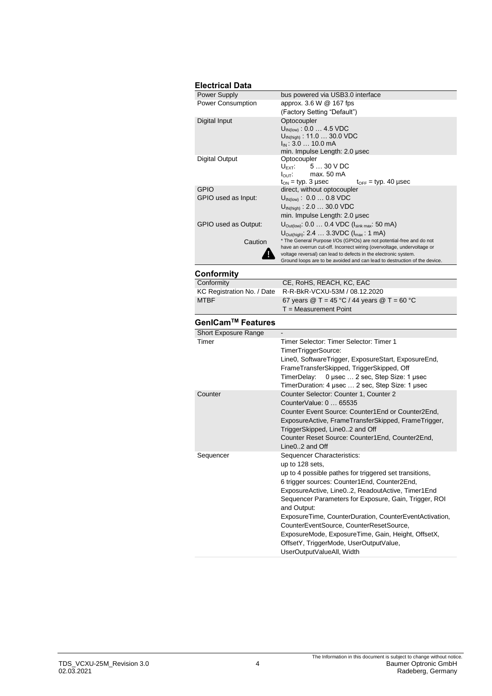| <b>Electrical Data</b>   |                                                                                                                                            |  |
|--------------------------|--------------------------------------------------------------------------------------------------------------------------------------------|--|
| <b>Power Supply</b>      | bus powered via USB3.0 interface                                                                                                           |  |
| <b>Power Consumption</b> | approx. 3.6 W @ 167 fps                                                                                                                    |  |
|                          | (Factory Setting "Default")                                                                                                                |  |
| Digital Input            | Optocoupler                                                                                                                                |  |
|                          | $U_{\text{IN(low)}}$ : 0.0  4.5 VDC                                                                                                        |  |
|                          | $U_{IN(high)}$ : 11.0  30.0 VDC                                                                                                            |  |
|                          | $I_{IN}$ : 3.0 $\ldots$ 10.0 mA<br>min. Impulse Length: 2.0 usec                                                                           |  |
| Digital Output           | Optocoupler                                                                                                                                |  |
|                          | $U_{\text{EXT}}$ 5  30 V DC                                                                                                                |  |
|                          | $I_{\text{OUT}}$ : max. 50 mA                                                                                                              |  |
|                          | $t_{ON}$ = typ. 3 µsec<br>$t_{\text{OFF}}$ = typ. 40 µsec                                                                                  |  |
| <b>GPIO</b>              | direct, without optocoupler                                                                                                                |  |
| GPIO used as Input:      | $U_{IN(low)}$ : 0.0  0.8 VDC                                                                                                               |  |
|                          | $U_{IN(hich)}$ : 2.0  30.0 VDC                                                                                                             |  |
|                          | min. Impulse Length: 2.0 µsec                                                                                                              |  |
| GPIO used as Output:     | $U_{\text{Out(low)}}$ : 0.0  0.4 VDC ( $I_{\text{sink max}}$ : 50 mA)                                                                      |  |
|                          | $U_{\text{Out(high)}}$ : 2.4  3.3VDC ( $I_{\text{max}}$ : 1 mA)                                                                            |  |
| Caution                  | * The General Purpose I/Os (GPIOs) are not potential-free and do not                                                                       |  |
|                          | have an overrun cut-off. Incorrect wiring (overvoltage, undervoltage or<br>voltage reversal) can lead to defects in the electronic system. |  |
|                          | Ground loops are to be avoided and can lead to destruction of the device.                                                                  |  |

#### **Conformity**

| - - - - - - - - - - - - |                                                                             |
|-------------------------|-----------------------------------------------------------------------------|
| Conformity              | CE, RoHS, REACH, KC, EAC                                                    |
|                         | KC Registration No. / Date R-R-BkR-VCXU-53M / 08.12.2020                    |
| <b>MTBF</b>             | 67 years $\textcircled{2}$ T = 45 °C / 44 years $\textcircled{2}$ T = 60 °C |
|                         | $T = Measurement Point$                                                     |
|                         |                                                                             |

### **GenICamTM Features**

| Short Exposure Range |                                                        |
|----------------------|--------------------------------------------------------|
| Timer                | Timer Selector: Timer Selector: Timer 1                |
|                      | TimerTriggerSource:                                    |
|                      | Line0, SoftwareTrigger, ExposureStart, ExposureEnd,    |
|                      | FrameTransferSkipped, TriggerSkipped, Off              |
|                      | TimerDelay: 0 usec  2 sec, Step Size: 1 usec           |
|                      | TimerDuration: 4 usec  2 sec, Step Size: 1 usec        |
| Counter              | Counter Selector: Counter 1, Counter 2                 |
|                      | CounterValue: 0  65535                                 |
|                      | Counter Event Source: Counter1End or Counter2End.      |
|                      | ExposureActive, FrameTransferSkipped, FrameTrigger,    |
|                      | TriggerSkipped, Line02 and Off                         |
|                      | Counter Reset Source: Counter1End, Counter2End,        |
|                      | Line02 and Off                                         |
| Sequencer            | Sequencer Characteristics:                             |
|                      | up to 128 sets,                                        |
|                      | up to 4 possible pathes for triggered set transitions, |
|                      | 6 trigger sources: Counter1End, Counter2End,           |
|                      | ExposureActive, Line02, ReadoutActive, Timer1End       |
|                      | Sequencer Parameters for Exposure, Gain, Trigger, ROI  |
|                      | and Output:                                            |
|                      | ExposureTime, CounterDuration, CounterEventActivation, |
|                      | CounterEventSource, CounterResetSource,                |
|                      | ExposureMode, ExposureTime, Gain, Height, OffsetX,     |
|                      | OffsetY, TriggerMode, UserOutputValue,                 |
|                      | UserOutputValueAll, Width                              |